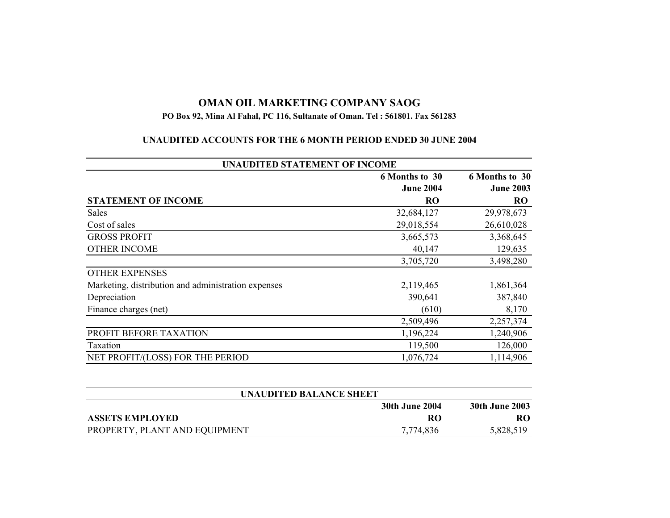## **OMAN OIL MARKETING COMPANY SAOG**

## **PO Box 92, Mina Al Fahal, PC 116, Sultanate of Oman. Tel : 561801. Fax 561283**

## **UNAUDITED ACCOUNTS FOR THE 6 MONTH PERIOD ENDED 30 JUNE 2004**

| <b>UNAUDITED STATEMENT OF INCOME</b>                |                                    |                                    |  |
|-----------------------------------------------------|------------------------------------|------------------------------------|--|
|                                                     | 6 Months to 30<br><b>June 2004</b> | 6 Months to 30<br><b>June 2003</b> |  |
| <b>STATEMENT OF INCOME</b>                          | R <sub>O</sub>                     | <b>RO</b>                          |  |
| <b>Sales</b>                                        | 32,684,127                         | 29,978,673                         |  |
| Cost of sales                                       | 29,018,554                         | 26,610,028                         |  |
| <b>GROSS PROFIT</b>                                 | 3,665,573                          | 3,368,645                          |  |
| <b>OTHER INCOME</b>                                 | 40,147                             | 129,635                            |  |
|                                                     | 3,705,720                          | 3,498,280                          |  |
| <b>OTHER EXPENSES</b>                               |                                    |                                    |  |
| Marketing, distribution and administration expenses | 2,119,465                          | 1,861,364                          |  |
| Depreciation                                        | 390,641                            | 387,840                            |  |
| Finance charges (net)                               | (610)                              | 8,170                              |  |
|                                                     | 2,509,496                          | 2,257,374                          |  |
| PROFIT BEFORE TAXATION                              | 1,196,224                          | 1,240,906                          |  |
| Taxation                                            | 119,500                            | 126,000                            |  |
| NET PROFIT/(LOSS) FOR THE PERIOD                    | 1,076,724                          | 1,114,906                          |  |

| UNAUDITED BALANCE SHEET       |                |                       |  |
|-------------------------------|----------------|-----------------------|--|
|                               | 30th June 2004 | <b>30th June 2003</b> |  |
| <b>ASSETS EMPLOYED</b>        | RО             | RO                    |  |
| PROPERTY, PLANT AND EQUIPMENT | 7,774,836      | 5,828,519             |  |